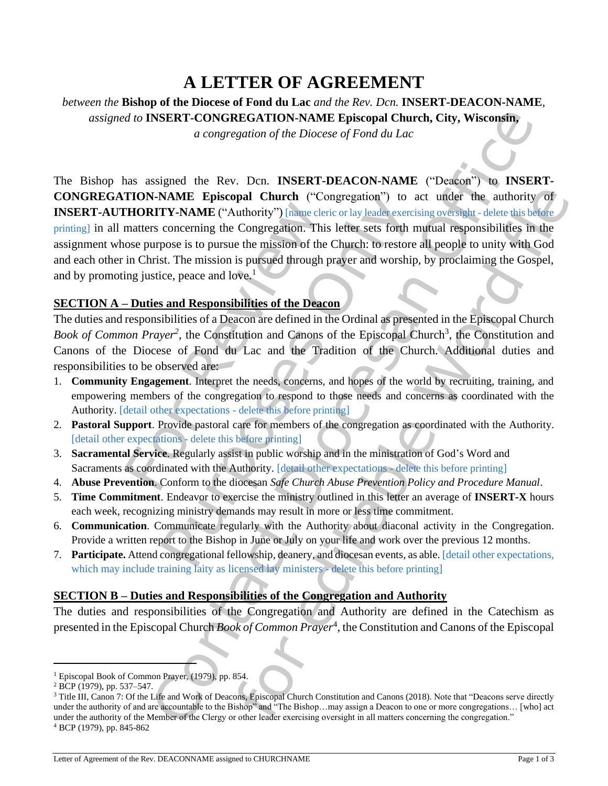# **A LETTER OF AGREEMENT**

*between the* **Bishop of the Diocese of Fond du Lac** *and the Rev. Dcn.* **INSERT-DEACON-NAME***, assigned to* **INSERT-CONGREGATION-NAME Episcopal Church, City, Wisconsin,**

*a congregation of the Diocese of Fond du Lac*

**FIORITY-NAME** Episcopar Church (Comparement<br>
FIORITY-NAME ("Authority") [name element<br>
matters concerning the Congregation. This<br>
ose purpose is to pursue the mission of the<br>
in Christ. The mission is pursued through p<br> **NAME Episcopal Church** ("Congregation") to<br> **TY-NAME** ("Authority") [name cleric or lay leader exerc<br>
concerning the Congregation. This lefter sets forth in<br>
pose is to pursue the mission of the Church: to restore<br>
st. T **EXAMPLE CONGREGATION NAME Episcopial Church, City, Wisconstitution**<br> *a contgregation of the Diocese of Fond du Late*<br> *a contgregation of the Diocese of Fond du Late*<br>
signed the Rev. Dcn. INSERT-DEACON-NAME ("Dector") **ppal Church** ("Congregation") to act under the authority of<br>
culturality<sup>-1</sup>) inanederic ralsy leaded exercising overlay the detection<br>
comgregation. This lefter sets forth mutual responsibilities in the<br>
comgregation. T The Bishop has assigned the Rev. Dcn. **INSERT-DEACON-NAME** ("Deacon") to **INSERT-CONGREGATION-NAME Episcopal Church** ("Congregation") to act under the authority of **INSERT-AUTHORITY-NAME** ("Authority") [name cleric or lay leader exercising oversight - delete this before printing] in all matters concerning the Congregation. This letter sets forth mutual responsibilities in the assignment whose purpose is to pursue the mission of the Church: to restore all people to unity with God and each other in Christ. The mission is pursued through prayer and worship, by proclaiming the Gospel, and by promoting justice, peace and love.<sup>1</sup>

#### **SECTION A – Duties and Responsibilities of the Deacon**

The duties and responsibilities of a Deacon are defined in the Ordinal as presented in the Episcopal Church Book of Common Prayer<sup>2</sup>, the Constitution and Canons of the Episcopal Church<sup>3</sup>, the Constitution and Canons of the Diocese of Fond du Lac and the Tradition of the Church. Additional duties and responsibilities to be observed are:

- 1. **Community Engagement**. Interpret the needs, concerns, and hopes of the world by recruiting, training, and empowering members of the congregation to respond to those needs and concerns as coordinated with the Authority. [detail other expectations - delete this before printing]
- 2. **Pastoral Support**. Provide pastoral care for members of the congregation as coordinated with the Authority. [detail other expectations - delete this before printing]
- 3. **Sacramental Service**. Regularly assist in public worship and in the ministration of God's Word and Sacraments as coordinated with the Authority. [detail other expectations - delete this before printing]
- 4. **Abuse Prevention**. Conform to the diocesan *Safe Church Abuse Prevention Policy and Procedure Manual*.
- 5. **Time Commitment**. Endeavor to exercise the ministry outlined in this letter an average of **INSERT-X** hours each week, recognizing ministry demands may result in more or less time commitment.
- 6. **Communication**. Communicate regularly with the Authority about diaconal activity in the Congregation. Provide a written report to the Bishop in June or July on your life and work over the previous 12 months.
- 7. **Participate.** Attend congregational fellowship, deanery, and diocesan events, as able. [detail other expectations, which may include training laity as licensed lay ministers - delete this before printing

### **SECTION B – Duties and Responsibilities of the Congregation and Authority**

The duties and responsibilities of the Congregation and Authority are defined in the Catechism as presented in the Episcopal Church *Book of Common Prayer*<sup>4</sup> , the Constitution and Canons of the Episcopal

<sup>&</sup>lt;sup>1</sup> Episcopal Book of Common Prayer, (1979), pp. 854.

<sup>2</sup> BCP (1979), pp. 537–547.

<sup>&</sup>lt;sup>3</sup> Title III, Canon 7: Of the Life and Work of Deacons, Episcopal Church Constitution and Canons (2018). Note that "Deacons serve directly under the authority of and are accountable to the Bishop" and "The Bishop...may assign a Deacon to one or more congregations... [who] act under the authority of the Member of the Clergy or other leader exercising oversight in all matters concerning the congregation." <sup>4</sup> BCP (1979), pp. 845-862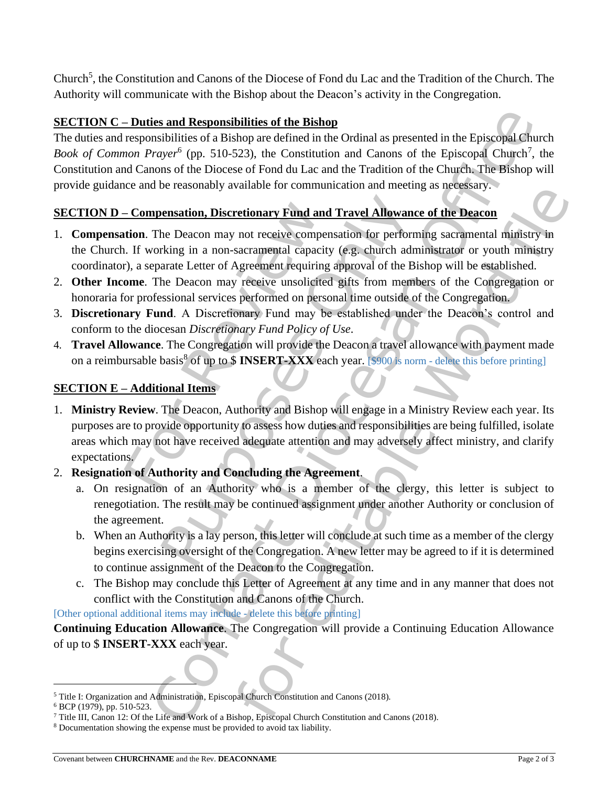Church<sup>5</sup>, the Constitution and Canons of the Diocese of Fond du Lac and the Tradition of the Church. The Authority will communicate with the Bishop about the Deacon's activity in the Congregation.

## **SECTION C – Duties and Responsibilities of the Bishop**

**Example Solution** (a filtre Bishop<br>
ansibilities of a Bishop are defined in the Contact and Carons of the Episcopia Church<sup>2</sup>, the<br> *Constitution* and Carons of the Episcopia Church<sup>2</sup>, the<br> *Constitution* and Carons of t The duties and responsibilities of a Bishop are defined in the Ordinal as presented in the Episcopal Church Book of Common Prayer<sup>6</sup> (pp. 510-523), the Constitution and Canons of the Episcopal Church<sup>7</sup>, the Constitution and Canons of the Diocese of Fond du Lac and the Tradition of the Church. The Bishop will provide guidance and be reasonably available for communication and meeting as necessary.

# **SECTION D – Compensation, Discretionary Fund and Travel Allowance of the Deacon**

- 1. **Compensation**. The Deacon may not receive compensation for performing sacramental ministry in the Church. If working in a non-sacramental capacity (e.g. church administrator or youth ministry coordinator), a separate Letter of Agreement requiring approval of the Bishop will be established.
- 2. **Other Income**. The Deacon may receive unsolicited gifts from members of the Congregation or honoraria for professional services performed on personal time outside of the Congregation.
- 3. **Discretionary Fund**. A Discretionary Fund may be established under the Deacon's control and conform to the diocesan *Discretionary Fund Policy of Use*.
- 4. **Travel Allowance**. The Congregation will provide the Deacon a travel allowance with payment made on a reimbursable basis<sup>8</sup> of up to \$ **INSERT-XXX** each year. [\$900 is norm - delete this before printing]

## **SECTION E – Additional Items**

- **Compensation, Discretionary Fund and**<br>tion. The Deacon may not receive comper-<br>i. If working in a non-sacramental capacity<br>b), a separate Letter of Agreement requiring<br>**ome**. The Deacon may receive unsolicited<br>for profe **Example 12**<br> **Example 12**<br> **Example 12**<br> **Example 12**<br> **Example 12**<br> **Example 12**<br> **Example 12**<br> **Example 12**<br> **Example 12**<br> **Example 12**<br> **Example 12**<br> **Example 12**<br> **Example 12**<br> **Example 12**<br> **Example 12**<br> **Example 12** variable for communication and inecting as increasing.<br>
retionary Fund and Travel Allowance of the Deacon<br>
rol receive compensation for performing sacramental capacity (e.g. church administrator or youth ministry in<br>
Agree 1. **Ministry Review**. The Deacon, Authority and Bishop will engage in a Ministry Review each year. Its purposes are to provide opportunity to assess how duties and responsibilities are being fulfilled, isolate areas which may not have received adequate attention and may adversely affect ministry, and clarify expectations.
- 2. **Resignation of Authority and Concluding the Agreement**.
	- a. On resignation of an Authority who is a member of the clergy, this letter is subject to renegotiation. The result may be continued assignment under another Authority or conclusion of the agreement.
	- b. When an Authority is a lay person, this letter will conclude at such time as a member of the clergy begins exercising oversight of the Congregation. A new letter may be agreed to if it is determined to continue assignment of the Deacon to the Congregation.
	- c. The Bishop may conclude this Letter of Agreement at any time and in any manner that does not conflict with the Constitution and Canons of the Church.

[Other optional additional items may include - delete this before printing]

**Continuing Education Allowance**. The Congregation will provide a Continuing Education Allowance of up to \$ **INSERT-XXX** each year.

<sup>5</sup> Title I: Organization and Administration, Episcopal Church Constitution and Canons (2018).

<sup>6</sup> BCP (1979), pp. 510-523.

<sup>7</sup> Title III, Canon 12: Of the Life and Work of a Bishop, Episcopal Church Constitution and Canons (2018).

<sup>8</sup> Documentation showing the expense must be provided to avoid tax liability.